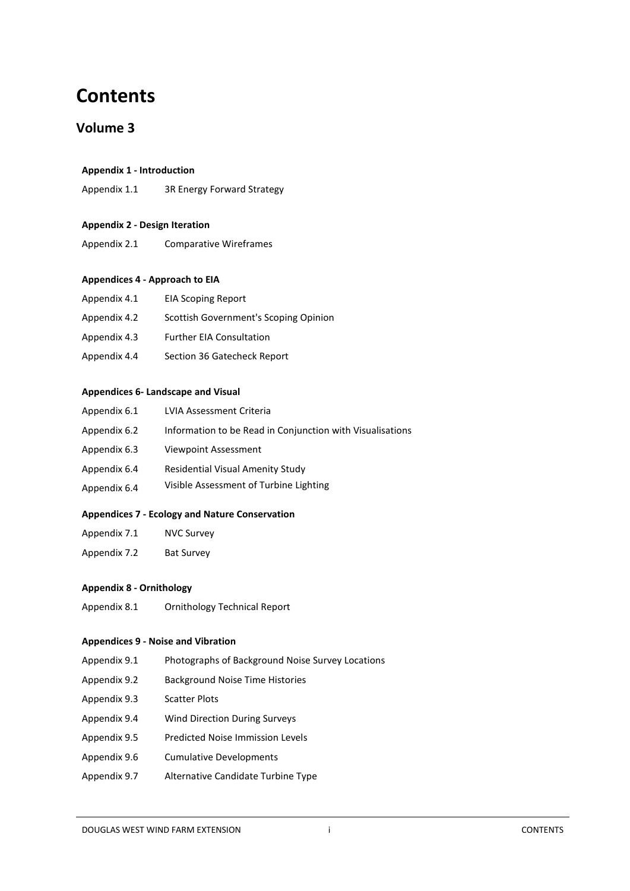# **Contents**

## **Volume 3**

## **Appendix 1 - Introduction**

Appendix 1.1 3R Energy Forward Strategy

## **Appendix 2 - Design Iteration**

Appendix 2.1 Comparative Wireframes

### **Appendices 4 - Approach to EIA**

| Appendix 4.1 | <b>EIA Scoping Report</b>             |
|--------------|---------------------------------------|
| Appendix 4.2 | Scottish Government's Scoping Opinion |
| Appendix 4.3 | <b>Further EIA Consultation</b>       |
| Appendix 4.4 | Section 36 Gatecheck Report           |

### **Appendices 6- Landscape and Visual**

| Appendix 6.1 | LVIA Assessment Criteria                                  |
|--------------|-----------------------------------------------------------|
| Appendix 6.2 | Information to be Read in Conjunction with Visualisations |
| Appendix 6.3 | Viewpoint Assessment                                      |
| Appendix 6.4 | Residential Visual Amenity Study                          |
| Appendix 6.4 | Visible Assessment of Turbine Lighting                    |

## **Appendices 7 - Ecology and Nature Conservation**

- Appendix 7.1 NVC Survey
- Appendix 7.2 Bat Survey

## **Appendix 8 - Ornithology**

Appendix 8.1 Ornithology Technical Report

### **Appendices 9 - Noise and Vibration**

- Appendix 9.1 Photographs of Background Noise Survey Locations
- Appendix 9.2 Background Noise Time Histories
- Appendix 9.3 Scatter Plots
- Appendix 9.4 Wind Direction During Surveys
- Appendix 9.5 Predicted Noise Immission Levels
- Appendix 9.6 Cumulative Developments
- Appendix 9.7 Alternative Candidate Turbine Type